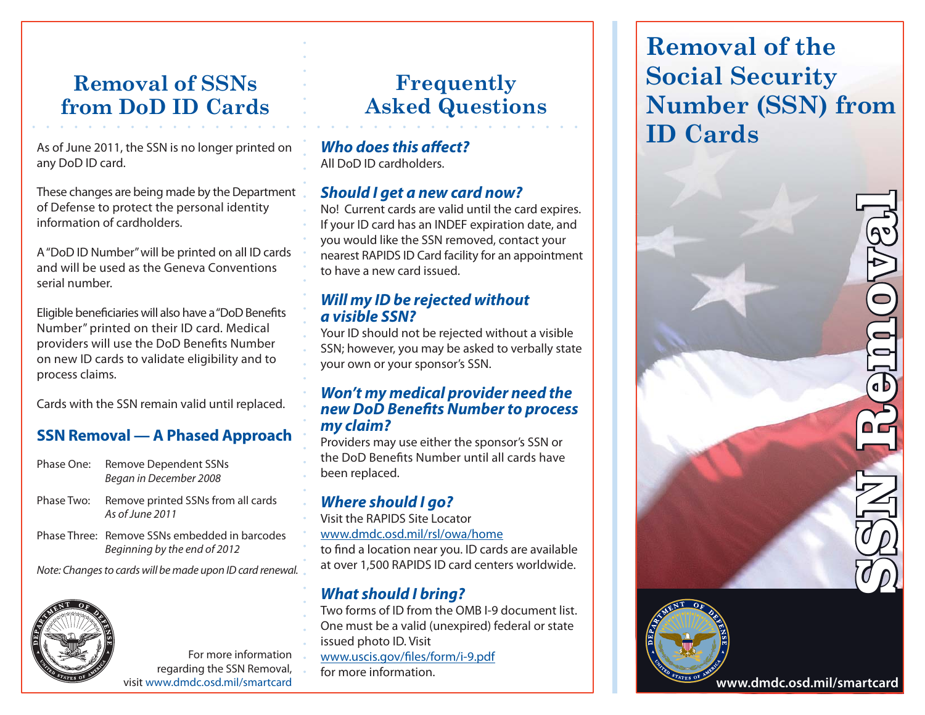# **Removal of SSNsfrom DoD ID Cards**

As of June 2011, the SSN is no longer printed on any DoD ID card.

These changes are being made by the Department of Defense to protect the personal identity information of cardholders.

A "DoD ID Number" will be printed on all ID cards and will be used as the Geneva Conventions serial number.

Eligible beneficiaries will also have a "DoD Benefits Number" printed on their ID card. Medical providers will use the DoD Benefits Number on new ID cards to validate eligibility and to process claims.

Cards with the SSN remain valid until replaced.

## **SSN Removal — A Phased Approach**

- Phase One: Remove Dependent SSNs Began in December 2008
- Phase Two: Remove printed SSNs from all cards As of June 2011
- Phase Three: Remove SSNs embedded in barcodesBeginning by the end of 2012

Note: Changes to cards will be made upon ID card renewal.



For more information regarding the SSN Removal, visit www.dmdc.osd.mil/smartcard

# **Frequently Asked Questions**

#### *Who does this affect?* All DoD ID cardholders.

### *Should I get a new card now?*

No! Current cards are valid until the card expires. If your ID card has an INDEF expiration date, and you would like the SSN removed, contact your nearest RAPIDS ID Card facility for an appointment to have a new card issued.

#### *Will my ID be rejected without a visible SSN?*

Your ID should not be rejected without a visible SSN; however, you may be asked to verbally state your own or your sponsor's SSN.

#### *Won't my medical provider need the*  **new DoD Benefits Number to process** *my claim?*

Providers may use either the sponsor's SSN or the DoD Benefits Number until all cards have been replaced.

# *Where should I go?*

Visit the RAPIDS Site Locatorwww.dmdc.osd.mil/rsl/owa/hometo find a location near you. ID cards are available at over 1,500 RAPIDS ID card centers worldwide.

## *What should I bring?*

- Two forms of ID from the OMB I-9 document list.
- One must be a valid (unexpired) federal or state
- issued photo ID. Visit
- www.uscis.gov/files/form/i-9.pdf
- for more information.

**Removal of the Social Security Number (SSN) from ID Cards**